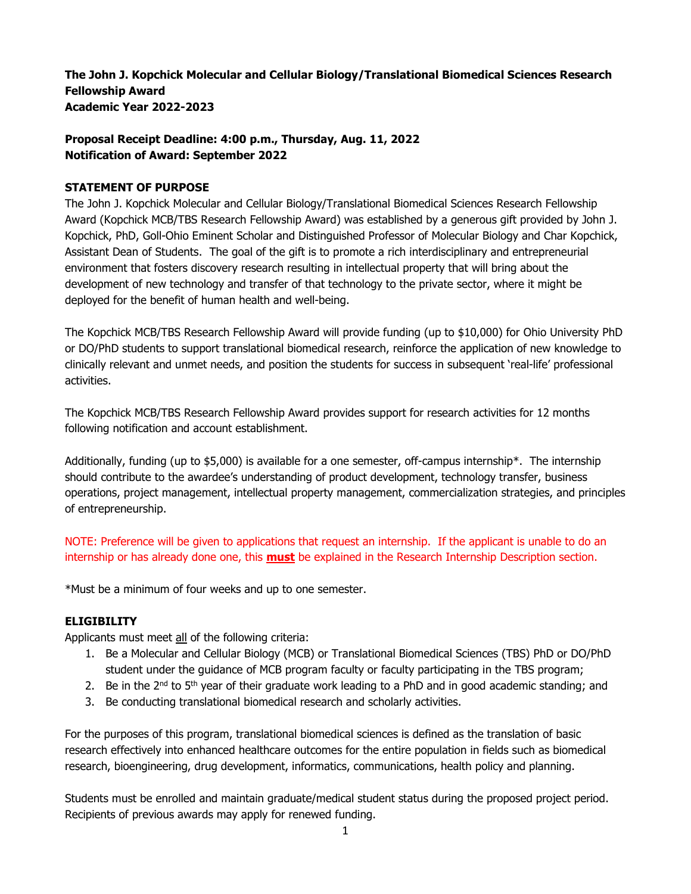**The John J. Kopchick Molecular and Cellular Biology/Translational Biomedical Sciences Research Fellowship Award Academic Year 2022-2023** 

# **Proposal Receipt Deadline: 4:00 p.m., Thursday, Aug. 11, 2022 Notification of Award: September 2022**

### **STATEMENT OF PURPOSE**

The John J. Kopchick Molecular and Cellular Biology/Translational Biomedical Sciences Research Fellowship Award (Kopchick MCB/TBS Research Fellowship Award) was established by a generous gift provided by John J. Kopchick, PhD, Goll-Ohio Eminent Scholar and Distinguished Professor of Molecular Biology and Char Kopchick, Assistant Dean of Students. The goal of the gift is to promote a rich interdisciplinary and entrepreneurial environment that fosters discovery research resulting in intellectual property that will bring about the development of new technology and transfer of that technology to the private sector, where it might be deployed for the benefit of human health and well-being.

The Kopchick MCB/TBS Research Fellowship Award will provide funding (up to \$10,000) for Ohio University PhD or DO/PhD students to support translational biomedical research, reinforce the application of new knowledge to clinically relevant and unmet needs, and position the students for success in subsequent 'real-life' professional activities.

The Kopchick MCB/TBS Research Fellowship Award provides support for research activities for 12 months following notification and account establishment.

Additionally, funding (up to \$5,000) is available for a one semester, off-campus internship\*. The internship should contribute to the awardee's understanding of product development, technology transfer, business operations, project management, intellectual property management, commercialization strategies, and principles of entrepreneurship.

NOTE: Preference will be given to applications that request an internship. If the applicant is unable to do an internship or has already done one, this **must** be explained in the Research Internship Description section.

\*Must be a minimum of four weeks and up to one semester.

## **ELIGIBILITY**

Applicants must meet all of the following criteria:

- 1. Be a Molecular and Cellular Biology (MCB) or Translational Biomedical Sciences (TBS) PhD or DO/PhD student under the guidance of MCB program faculty or faculty participating in the TBS program;
- 2. Be in the  $2<sup>nd</sup>$  to 5<sup>th</sup> year of their graduate work leading to a PhD and in good academic standing; and
- 3. Be conducting translational biomedical research and scholarly activities.

For the purposes of this program, translational biomedical sciences is defined as the translation of basic research effectively into enhanced healthcare outcomes for the entire population in fields such as biomedical research, bioengineering, drug development, informatics, communications, health policy and planning.

Students must be enrolled and maintain graduate/medical student status during the proposed project period. Recipients of previous awards may apply for renewed funding.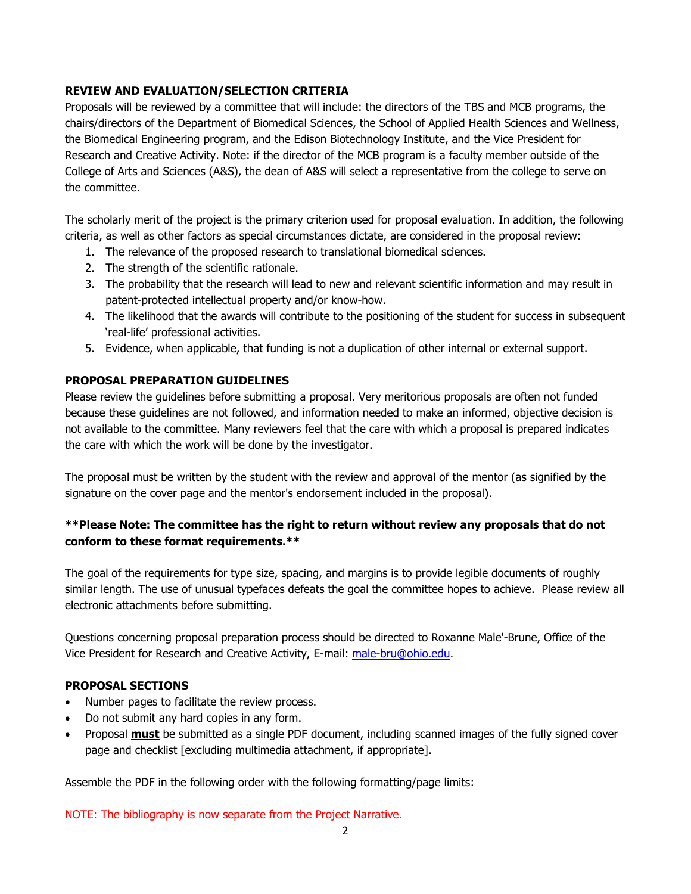## **REVIEW AND EVALUATION/SELECTION CRITERIA**

Proposals will be reviewed by a committee that will include: the directors of the TBS and MCB programs, the chairs/directors of the Department of Biomedical Sciences, the School of Applied Health Sciences and Wellness, the Biomedical Engineering program, and the Edison Biotechnology Institute, and the Vice President for Research and Creative Activity. Note: if the director of the MCB program is a faculty member outside of the College of Arts and Sciences (A&S), the dean of A&S will select a representative from the college to serve on the committee.

The scholarly merit of the project is the primary criterion used for proposal evaluation. In addition, the following criteria, as well as other factors as special circumstances dictate, are considered in the proposal review:

- 1. The relevance of the proposed research to translational biomedical sciences.
- 2. The strength of the scientific rationale.
- 3. The probability that the research will lead to new and relevant scientific information and may result in patent-protected intellectual property and/or know-how.
- 4. The likelihood that the awards will contribute to the positioning of the student for success in subsequent 'real-life' professional activities.
- 5. Evidence, when applicable, that funding is not a duplication of other internal or external support.

### **PROPOSAL PREPARATION GUIDELINES**

Please review the guidelines before submitting a proposal. Very meritorious proposals are often not funded because these guidelines are not followed, and information needed to make an informed, objective decision is not available to the committee. Many reviewers feel that the care with which a proposal is prepared indicates the care with which the work will be done by the investigator.

The proposal must be written by the student with the review and approval of the mentor (as signified by the signature on the cover page and the mentor's endorsement included in the proposal).

# **\*\*Please Note: The committee has the right to return without review any proposals that do not conform to these format requirements.\*\***

The goal of the requirements for type size, spacing, and margins is to provide legible documents of roughly similar length. The use of unusual typefaces defeats the goal the committee hopes to achieve. Please review all electronic attachments before submitting.

Questions concerning proposal preparation process should be directed to Roxanne Male'-Brune, Office of the Vice President for Research and Creative Activity, E-mail: [male-bru@ohio.edu.](mailto:male-bru@ohio.edu)

### **PROPOSAL SECTIONS**

- Number pages to facilitate the review process.
- Do not submit any hard copies in any form.
- Proposal **must** be submitted as a single PDF document, including scanned images of the fully signed cover page and checklist [excluding multimedia attachment, if appropriate].

Assemble the PDF in the following order with the following formatting/page limits:

NOTE: The bibliography is now separate from the Project Narrative.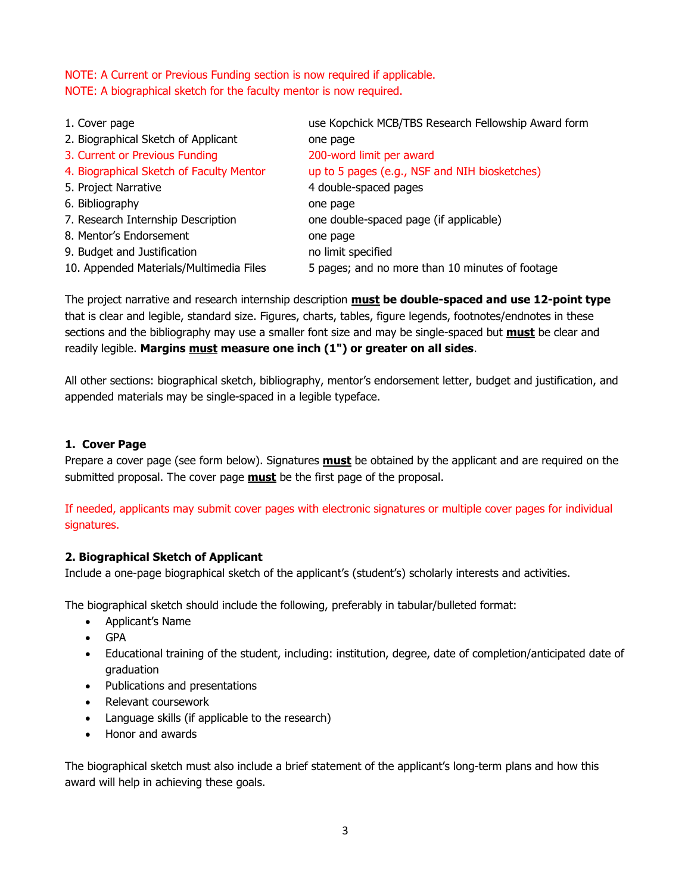NOTE: A Current or Previous Funding section is now required if applicable. NOTE: A biographical sketch for the faculty mentor is now required.

| 1. Cover page                            | use Kopchick MCB/TBS Research Fellowship Award form |
|------------------------------------------|-----------------------------------------------------|
| 2. Biographical Sketch of Applicant      | one page                                            |
| 3. Current or Previous Funding           | 200-word limit per award                            |
| 4. Biographical Sketch of Faculty Mentor | up to 5 pages (e.g., NSF and NIH biosketches)       |
| 5. Project Narrative                     | 4 double-spaced pages                               |
| 6. Bibliography                          | one page                                            |
| 7. Research Internship Description       | one double-spaced page (if applicable)              |
| 8. Mentor's Endorsement                  | one page                                            |
| 9. Budget and Justification              | no limit specified                                  |
| 10. Appended Materials/Multimedia Files  | 5 pages; and no more than 10 minutes of footage     |
|                                          |                                                     |

The project narrative and research internship description **must be double-spaced and use 12-point type**  that is clear and legible, standard size. Figures, charts, tables, figure legends, footnotes/endnotes in these sections and the bibliography may use a smaller font size and may be single-spaced but **must** be clear and readily legible. **Margins must measure one inch (1") or greater on all sides**.

All other sections: biographical sketch, bibliography, mentor's endorsement letter, budget and justification, and appended materials may be single-spaced in a legible typeface.

### **1. Cover Page**

Prepare a cover page (see form below). Signatures **must** be obtained by the applicant and are required on the submitted proposal. The cover page **must** be the first page of the proposal.

If needed, applicants may submit cover pages with electronic signatures or multiple cover pages for individual signatures.

### **2. Biographical Sketch of Applicant**

Include a one-page biographical sketch of the applicant's (student's) scholarly interests and activities.

The biographical sketch should include the following, preferably in tabular/bulleted format:

- Applicant's Name
- GPA
- Educational training of the student, including: institution, degree, date of completion/anticipated date of graduation
- Publications and presentations
- Relevant coursework
- Language skills (if applicable to the research)
- Honor and awards

The biographical sketch must also include a brief statement of the applicant's long-term plans and how this award will help in achieving these goals.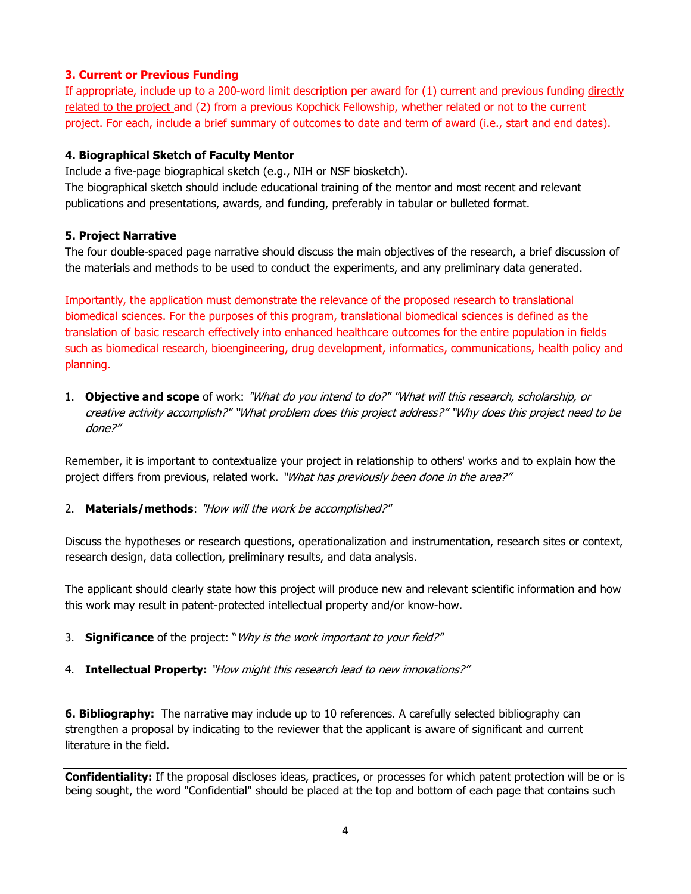### **3. Current or Previous Funding**

If appropriate, include up to a 200-word limit description per award for (1) current and previous funding directly related to the project and (2) from a previous Kopchick Fellowship, whether related or not to the current project. For each, include a brief summary of outcomes to date and term of award (i.e., start and end dates).

### **4. Biographical Sketch of Faculty Mentor**

Include a five-page biographical sketch (e.g., NIH or NSF biosketch).

The biographical sketch should include educational training of the mentor and most recent and relevant publications and presentations, awards, and funding, preferably in tabular or bulleted format.

### **5. Project Narrative**

The four double-spaced page narrative should discuss the main objectives of the research, a brief discussion of the materials and methods to be used to conduct the experiments, and any preliminary data generated.

Importantly, the application must demonstrate the relevance of the proposed research to translational biomedical sciences. For the purposes of this program, translational biomedical sciences is defined as the translation of basic research effectively into enhanced healthcare outcomes for the entire population in fields such as biomedical research, bioengineering, drug development, informatics, communications, health policy and planning.

1. **Objective and scope** of work: "What do you intend to do?" "What will this research, scholarship, or creative activity accomplish?" "What problem does this project address?" "Why does this project need to be done?"

Remember, it is important to contextualize your project in relationship to others' works and to explain how the project differs from previous, related work. "What has previously been done in the area?"

2. **Materials/methods**: "How will the work be accomplished?"

Discuss the hypotheses or research questions, operationalization and instrumentation, research sites or context, research design, data collection, preliminary results, and data analysis.

The applicant should clearly state how this project will produce new and relevant scientific information and how this work may result in patent-protected intellectual property and/or know-how.

- 3. **Significance** of the project: "Why is the work important to your field?"
- 4. **Intellectual Property:** "How might this research lead to new innovations?"

**6. Bibliography:** The narrative may include up to 10 references. A carefully selected bibliography can strengthen a proposal by indicating to the reviewer that the applicant is aware of significant and current literature in the field.

**Confidentiality:** If the proposal discloses ideas, practices, or processes for which patent protection will be or is being sought, the word "Confidential" should be placed at the top and bottom of each page that contains such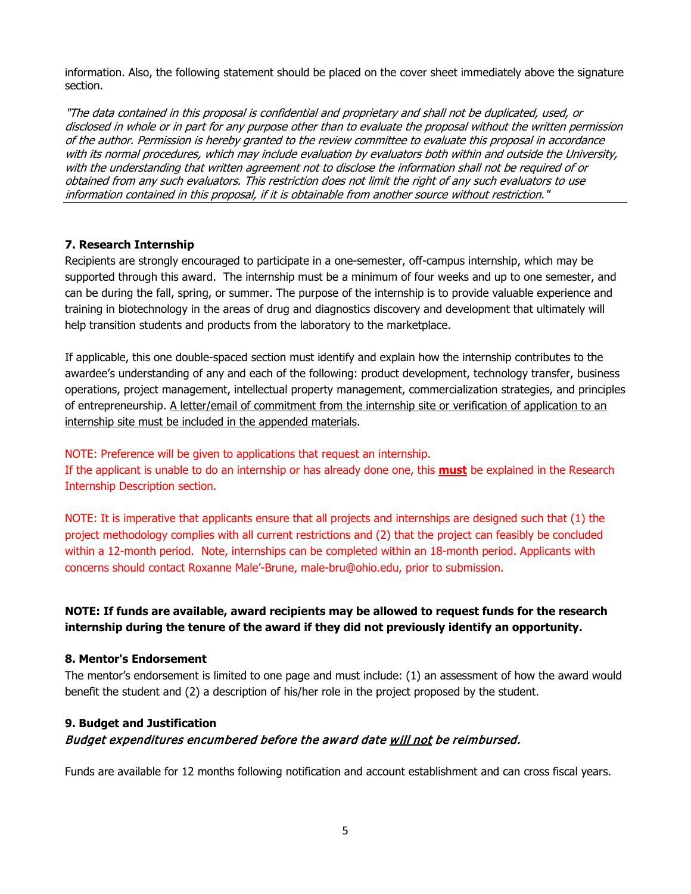information. Also, the following statement should be placed on the cover sheet immediately above the signature section.

"The data contained in this proposal is confidential and proprietary and shall not be duplicated, used, or disclosed in whole or in part for any purpose other than to evaluate the proposal without the written permission of the author. Permission is hereby granted to the review committee to evaluate this proposal in accordance with its normal procedures, which may include evaluation by evaluators both within and outside the University, with the understanding that written agreement not to disclose the information shall not be required of or obtained from any such evaluators. This restriction does not limit the right of any such evaluators to use information contained in this proposal, if it is obtainable from another source without restriction."

### **7. Research Internship**

Recipients are strongly encouraged to participate in a one-semester, off-campus internship, which may be supported through this award. The internship must be a minimum of four weeks and up to one semester, and can be during the fall, spring, or summer. The purpose of the internship is to provide valuable experience and training in biotechnology in the areas of drug and diagnostics discovery and development that ultimately will help transition students and products from the laboratory to the marketplace.

If applicable, this one double-spaced section must identify and explain how the internship contributes to the awardee's understanding of any and each of the following: product development, technology transfer, business operations, project management, intellectual property management, commercialization strategies, and principles of entrepreneurship. A letter/email of commitment from the internship site or verification of application to an internship site must be included in the appended materials.

### NOTE: Preference will be given to applications that request an internship.

If the applicant is unable to do an internship or has already done one, this **must** be explained in the Research Internship Description section.

NOTE: It is imperative that applicants ensure that all projects and internships are designed such that (1) the project methodology complies with all current restrictions and (2) that the project can feasibly be concluded within a 12-month period. Note, internships can be completed within an 18-month period. Applicants with concerns should contact Roxanne Male'-Brune, male-bru@ohio.edu, prior to submission.

# **NOTE: If funds are available, award recipients may be allowed to request funds for the research internship during the tenure of the award if they did not previously identify an opportunity.**

### **8. Mentor's Endorsement**

The mentor's endorsement is limited to one page and must include: (1) an assessment of how the award would benefit the student and (2) a description of his/her role in the project proposed by the student.

# **9. Budget and Justification** Budget expenditures encumbered before the award date will not be reimbursed.

Funds are available for 12 months following notification and account establishment and can cross fiscal years.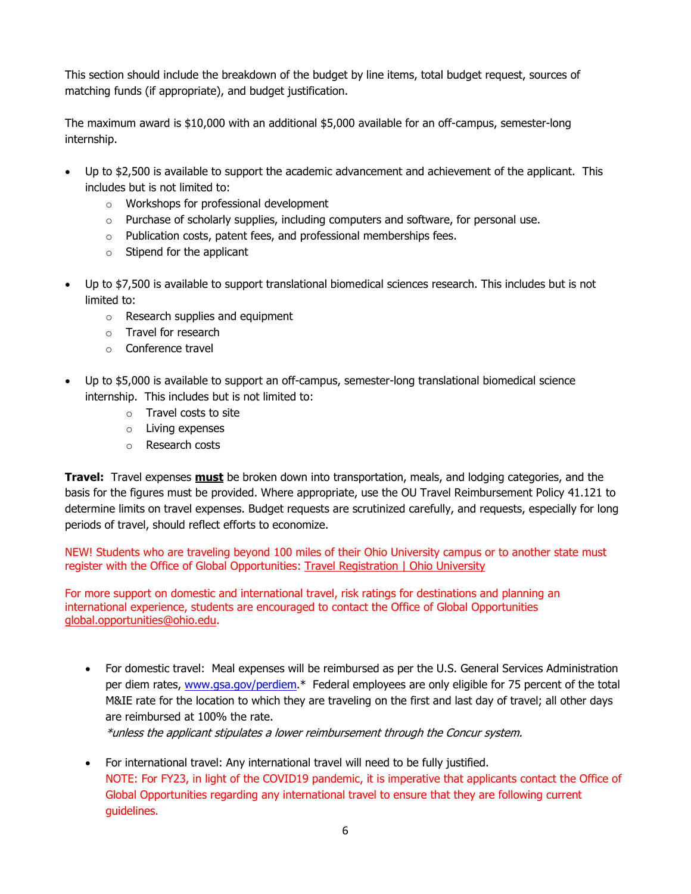This section should include the breakdown of the budget by line items, total budget request, sources of matching funds (if appropriate), and budget justification.

The maximum award is \$10,000 with an additional \$5,000 available for an off-campus, semester-long internship.

- Up to \$2,500 is available to support the academic advancement and achievement of the applicant. This includes but is not limited to:
	- o Workshops for professional development
	- $\circ$  Purchase of scholarly supplies, including computers and software, for personal use.
	- o Publication costs, patent fees, and professional memberships fees.
	- $\circ$  Stipend for the applicant
- Up to \$7,500 is available to support translational biomedical sciences research. This includes but is not limited to:
	- o Research supplies and equipment
	- o Travel for research
	- o Conference travel
- Up to \$5,000 is available to support an off-campus, semester-long translational biomedical science internship. This includes but is not limited to:
	- o Travel costs to site
	- o Living expenses
	- o Research costs

**Travel:** Travel expenses **must** be broken down into transportation, meals, and lodging categories, and the basis for the figures must be provided. Where appropriate, use the OU Travel Reimbursement Policy 41.121 to determine limits on travel expenses. Budget requests are scrutinized carefully, and requests, especially for long periods of travel, should reflect efforts to economize.

NEW! Students who are traveling beyond 100 miles of their Ohio University campus or to another state must register with the Office of Global Opportunities: [Travel Registration | Ohio University](https://www.ohio.edu/goglobal/travel)

For more support on domestic and international travel, risk ratings for destinations and planning an international experience, students are encouraged to contact the Office of Global Opportunities [global.opportunities@ohio.edu.](mailto:global.opportunities@ohio.edu)

• For domestic travel: Meal expenses will be reimbursed as per the U.S. General Services Administration per diem rates, [www.gsa.gov/perdiem.](http://www.gsa.gov/perdiem)\* Federal employees are only eligible for 75 percent of the total M&IE rate for the location to which they are traveling on the first and last day of travel; all other days are reimbursed at 100% the rate.

\*unless the applicant stipulates a lower reimbursement through the Concur system.

• For international travel: Any international travel will need to be fully justified. NOTE: For FY23, in light of the COVID19 pandemic, it is imperative that applicants contact the Office of Global Opportunities regarding any international travel to ensure that they are following current guidelines.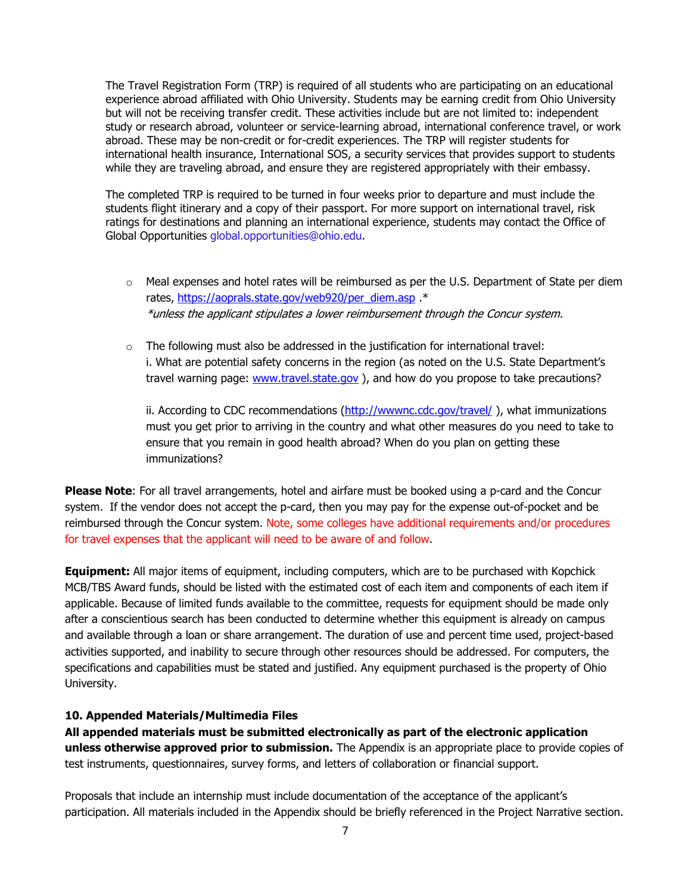The Travel Registration Form (TRP) is required of all students who are participating on an educational experience abroad affiliated with Ohio University. Students may be earning credit from Ohio University but will not be receiving transfer credit. These activities include but are not limited to: independent study or research abroad, volunteer or service-learning abroad, international conference travel, or work abroad. These may be non-credit or for-credit experiences. The TRP will register students for international health insurance, International SOS, a security services that provides support to students while they are traveling abroad, and ensure they are registered appropriately with their embassy.

The completed TRP is required to be turned in four weeks prior to departure and must include the students flight itinerary and a copy of their passport. For more support on international travel, risk ratings for destinations and planning an international experience, students may contact the Office of Global Opportunities global.opportunities@ohio.edu.

- $\circ$  Meal expenses and hotel rates will be reimbursed as per the U.S. Department of State per diem rates, [https://aoprals.state.gov/web920/per\\_diem.asp](https://aoprals.state.gov/web920/per_diem.asp) .\* \*unless the applicant stipulates a lower reimbursement through the Concur system.
- $\circ$  The following must also be addressed in the justification for international travel: i. What are potential safety concerns in the region (as noted on the U.S. State Department's travel warning page: [www.travel.state.gov](http://www.travel.state.gov/) ), and how do you propose to take precautions?

ii. According to CDC recommendations (http://wwwnc.cdc.gov/travel/), what immunizations must you get prior to arriving in the country and what other measures do you need to take to ensure that you remain in good health abroad? When do you plan on getting these immunizations?

**Please Note**: For all travel arrangements, hotel and airfare must be booked using a p-card and the Concur system. If the vendor does not accept the p-card, then you may pay for the expense out-of-pocket and be reimbursed through the Concur system. Note, some colleges have additional requirements and/or procedures for travel expenses that the applicant will need to be aware of and follow.

**Equipment:** All major items of equipment, including computers, which are to be purchased with Kopchick MCB/TBS Award funds, should be listed with the estimated cost of each item and components of each item if applicable. Because of limited funds available to the committee, requests for equipment should be made only after a conscientious search has been conducted to determine whether this equipment is already on campus and available through a loan or share arrangement. The duration of use and percent time used, project-based activities supported, and inability to secure through other resources should be addressed. For computers, the specifications and capabilities must be stated and justified. Any equipment purchased is the property of Ohio University.

### **10. Appended Materials/Multimedia Files**

**All appended materials must be submitted electronically as part of the electronic application unless otherwise approved prior to submission.** The Appendix is an appropriate place to provide copies of test instruments, questionnaires, survey forms, and letters of collaboration or financial support.

Proposals that include an internship must include documentation of the acceptance of the applicant's participation. All materials included in the Appendix should be briefly referenced in the Project Narrative section.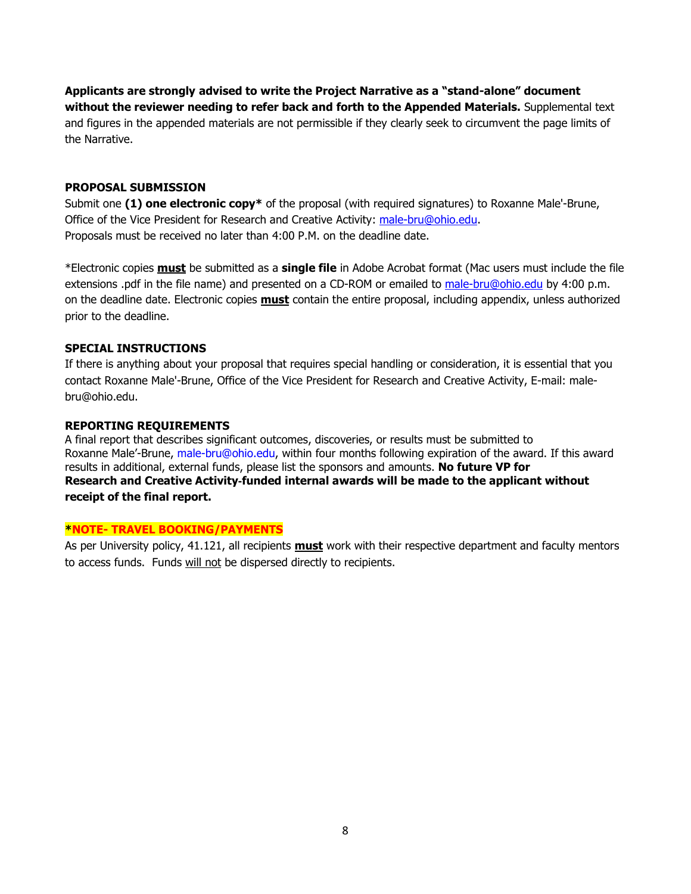**Applicants are strongly advised to write the Project Narrative as a "stand-alone" document without the reviewer needing to refer back and forth to the Appended Materials.** Supplemental text and figures in the appended materials are not permissible if they clearly seek to circumvent the page limits of the Narrative.

### **PROPOSAL SUBMISSION**

Submit one **(1) one electronic copy\*** of the proposal (with required signatures) to Roxanne Male'-Brune, Office of the Vice President for Research and Creative Activity: [male-bru@ohio.edu.](mailto:male-bru@ohio.edu) Proposals must be received no later than 4:00 P.M. on the deadline date.

\*Electronic copies **must** be submitted as a **single file** in Adobe Acrobat format (Mac users must include the file extensions .pdf in the file name) and presented on a CD-ROM or emailed to [male-bru@ohio.edu](mailto:male-bru@ohio.edu) by 4:00 p.m. on the deadline date. Electronic copies **must** contain the entire proposal, including appendix, unless authorized prior to the deadline.

### **SPECIAL INSTRUCTIONS**

If there is anything about your proposal that requires special handling or consideration, it is essential that you contact Roxanne Male'-Brune, Office of the Vice President for Research and Creative Activity, E-mail: malebru@ohio.edu.

#### **REPORTING REQUIREMENTS**

A final report that describes significant outcomes, discoveries, or results must be submitted to Roxanne Male'-Brune, male-bru@ohio.edu, within four months following expiration of the award. If this award results in additional, external funds, please list the sponsors and amounts. **No future VP for Research and Creative Activity**‐**funded internal awards will be made to the applicant without receipt of the final report.**

#### **\*NOTE- TRAVEL BOOKING/PAYMENTS**

As per University policy, 41.121, all recipients **must** work with their respective department and faculty mentors to access funds. Funds will not be dispersed directly to recipients.